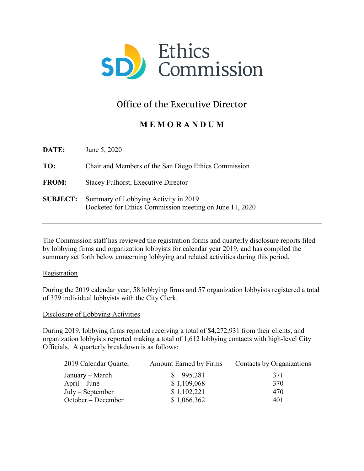

# Office of the Executive Director

## **M E M O R A N D U M**

| <b>DATE:</b>    | June 5, 2020                                                                                    |
|-----------------|-------------------------------------------------------------------------------------------------|
| TO:             | Chair and Members of the San Diego Ethics Commission                                            |
| <b>FROM:</b>    | <b>Stacey Fulhorst, Executive Director</b>                                                      |
| <b>SUBJECT:</b> | Summary of Lobbying Activity in 2019<br>Docketed for Ethics Commission meeting on June 11, 2020 |

The Commission staff has reviewed the registration forms and quarterly disclosure reports filed by lobbying firms and organization lobbyists for calendar year 2019, and has compiled the summary set forth below concerning lobbying and related activities during this period.

#### Registration

During the 2019 calendar year, 58 lobbying firms and 57 organization lobbyists registered a total of 379 individual lobbyists with the City Clerk.

#### Disclosure of Lobbying Activities

During 2019, lobbying firms reported receiving a total of \$4,272,931 from their clients, and organization lobbyists reported making a total of 1,612 lobbying contacts with high-level City Officials. A quarterly breakdown is as follows:

| 2019 Calendar Quarter | <b>Amount Earned by Firms</b> | Contacts by Organizations |
|-----------------------|-------------------------------|---------------------------|
| January – March       | \$995,281                     | 371                       |
| $April - June$        | \$1,109,068                   | 370                       |
| $July - September$    | \$1,102,221                   | 470                       |
| October – December    | \$1,066,362                   | 401                       |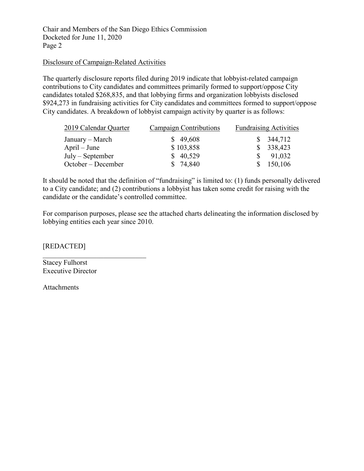Chair and Members of the San Diego Ethics Commission Docketed for June 11, 2020 Page 2

### Disclosure of Campaign-Related Activities

The quarterly disclosure reports filed during 2019 indicate that lobbyist-related campaign contributions to City candidates and committees primarily formed to support/oppose City candidates totaled \$268,835, and that lobbying firms and organization lobbyists disclosed \$924,273 in fundraising activities for City candidates and committees formed to support/oppose City candidates. A breakdown of lobbyist campaign activity by quarter is as follows:

| 2019 Calendar Quarter | Campaign Contributions | <b>Fundraising Activities</b> |
|-----------------------|------------------------|-------------------------------|
| January – March       | \$49,608               | \$344,712                     |
| $April - June$        | \$103,858              | \$338,423                     |
| $July-September$      | \$40,529               | 91,032                        |
| October – December    | 74,840                 | 150,106                       |

It should be noted that the definition of "fundraising" is limited to: (1) funds personally delivered to a City candidate; and (2) contributions a lobbyist has taken some credit for raising with the candidate or the candidate's controlled committee.

For comparison purposes, please see the attached charts delineating the information disclosed by lobbying entities each year since 2010.

[REDACTED]

Stacey Fulhorst Executive Director

Attachments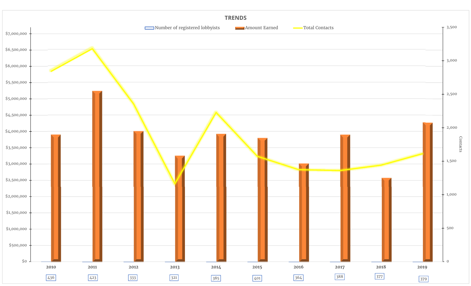